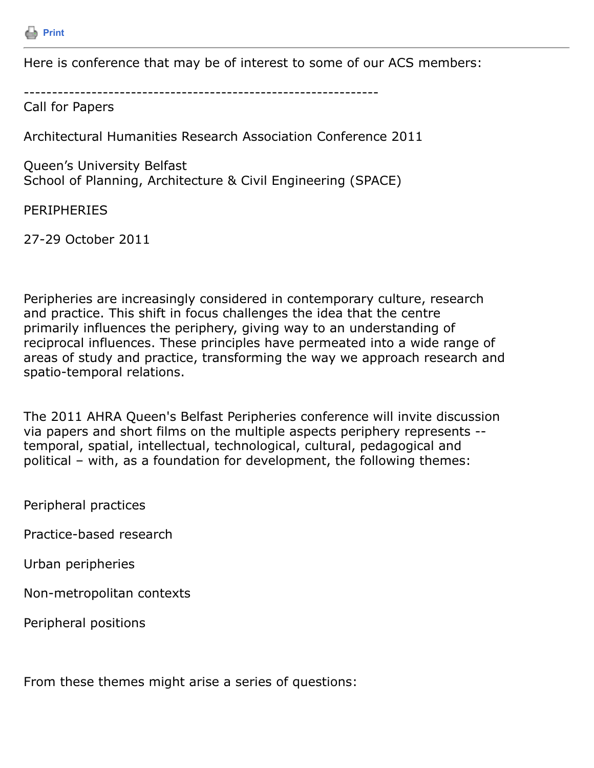

Here is conference that may be of interest to some of our ACS members:

---------------------------------------------------------------

Call for Papers

Architectural Humanities Research Association Conference 2011

Queen's University Belfast School of Planning, Architecture & Civil Engineering (SPACE)

PERIPHERIES

27-29 October 2011

Peripheries are increasingly considered in contemporary culture, research and practice. This shift in focus challenges the idea that the centre primarily influences the periphery, giving way to an understanding of reciprocal influences. These principles have permeated into a wide range of areas of study and practice, transforming the way we approach research and spatio-temporal relations.

The 2011 AHRA Queen's Belfast Peripheries conference will invite discussion via papers and short films on the multiple aspects periphery represents - temporal, spatial, intellectual, technological, cultural, pedagogical and political – with, as a foundation for development, the following themes:

Peripheral practices

Practice-based research

Urban peripheries

Non-metropolitan contexts

Peripheral positions

From these themes might arise a series of questions: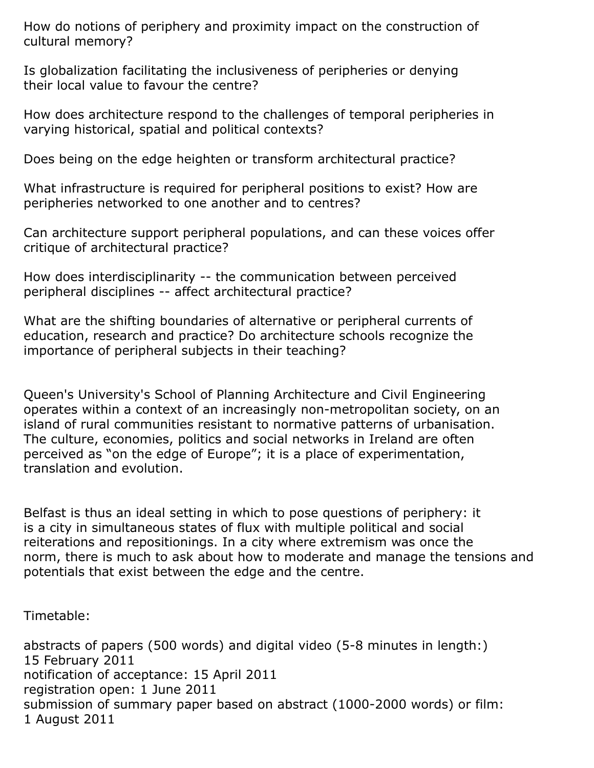How do notions of periphery and proximity impact on the construction of cultural memory?

Is globalization facilitating the inclusiveness of peripheries or denying their local value to favour the centre?

How does architecture respond to the challenges of temporal peripheries in varying historical, spatial and political contexts?

Does being on the edge heighten or transform architectural practice?

What infrastructure is required for peripheral positions to exist? How are peripheries networked to one another and to centres?

Can architecture support peripheral populations, and can these voices offer critique of architectural practice?

How does interdisciplinarity -- the communication between perceived peripheral disciplines -- affect architectural practice?

What are the shifting boundaries of alternative or peripheral currents of education, research and practice? Do architecture schools recognize the importance of peripheral subjects in their teaching?

Queen's University's School of Planning Architecture and Civil Engineering operates within a context of an increasingly non-metropolitan society, on an island of rural communities resistant to normative patterns of urbanisation. The culture, economies, politics and social networks in Ireland are often perceived as "on the edge of Europe"; it is a place of experimentation, translation and evolution.

Belfast is thus an ideal setting in which to pose questions of periphery: it is a city in simultaneous states of flux with multiple political and social reiterations and repositionings. In a city where extremism was once the norm, there is much to ask about how to moderate and manage the tensions and potentials that exist between the edge and the centre.

Timetable:

abstracts of papers (500 words) and digital video (5-8 minutes in length:) 15 February 2011 notification of acceptance: 15 April 2011 registration open: 1 June 2011 submission of summary paper based on abstract (1000-2000 words) or film: 1 August 2011